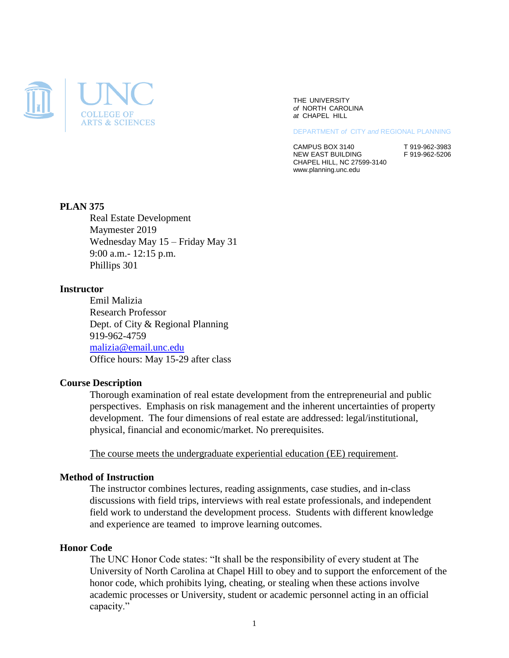

THE UNIVERSITY *of* NORTH CAROLINA *at* CHAPEL HILL

DEPARTMENT *of* CITY *and* REGIONAL PLANNING

CAMPUS BOX 3140<br>NEW EAST BUILDING F 919-962-5206 NEW EAST BUILDING CHAPEL HILL, NC 27599-3140 www.planning.unc.edu

### **PLAN 375**

Real Estate Development Maymester 2019 Wednesday May 15 – Friday May 31 9:00 a.m.- 12:15 p.m. Phillips 301

#### **Instructor**

Emil Malizia Research Professor Dept. of City & Regional Planning 919-962-4759 [malizia@email.unc.edu](mailto:malizia@email.unc.edu) Office hours: May 15-29 after class

#### **Course Description**

Thorough examination of real estate development from the entrepreneurial and public perspectives. Emphasis on risk management and the inherent uncertainties of property development. The four dimensions of real estate are addressed: legal/institutional, physical, financial and economic/market. No prerequisites.

The course meets the undergraduate experiential education (EE) requirement.

#### **Method of Instruction**

The instructor combines lectures, reading assignments, case studies, and in-class discussions with field trips, interviews with real estate professionals, and independent field work to understand the development process. Students with different knowledge and experience are teamed to improve learning outcomes.

#### **Honor Code**

The UNC Honor Code states: "It shall be the responsibility of every student at The University of North Carolina at Chapel Hill to obey and to support the enforcement of the honor code, which prohibits lying, cheating, or stealing when these actions involve academic processes or University, student or academic personnel acting in an official capacity."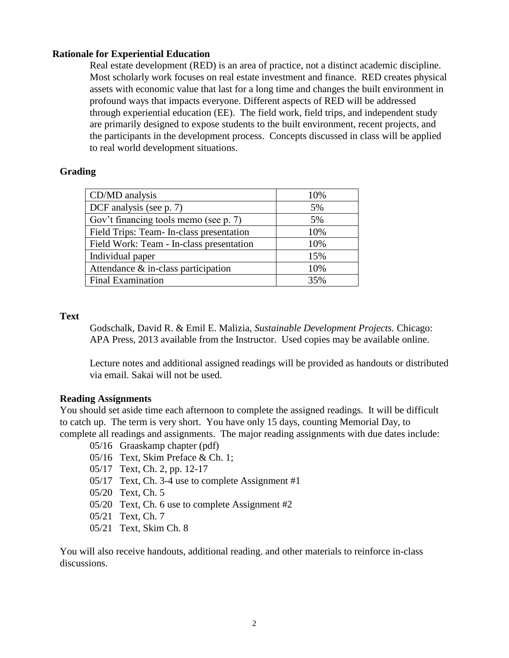# **Rationale for Experiential Education**

Real estate development (RED) is an area of practice, not a distinct academic discipline. Most scholarly work focuses on real estate investment and finance. RED creates physical assets with economic value that last for a long time and changes the built environment in profound ways that impacts everyone. Different aspects of RED will be addressed through experiential education (EE). The field work, field trips, and independent study are primarily designed to expose students to the built environment, recent projects, and the participants in the development process. Concepts discussed in class will be applied to real world development situations.

# **Grading**

| CD/MD analysis                           | 10% |
|------------------------------------------|-----|
| DCF analysis (see p. 7)                  | 5%  |
| Gov't financing tools memo (see p. 7)    | 5%  |
| Field Trips: Team- In-class presentation | 10% |
| Field Work: Team - In-class presentation | 10% |
| Individual paper                         | 15% |
| Attendance $\&$ in-class participation   | 10% |
| Final Examination                        | 35% |

## **Text**

Godschalk, David R. & Emil E. Malizia, *Sustainable Development Projects.* Chicago: APA Press, 2013 available from the Instructor. Used copies may be available online.

Lecture notes and additional assigned readings will be provided as handouts or distributed via email. Sakai will not be used.

## **Reading Assignments**

You should set aside time each afternoon to complete the assigned readings. It will be difficult to catch up. The term is very short. You have only 15 days, counting Memorial Day, to complete all readings and assignments. The major reading assignments with due dates include:

05/16 Graaskamp chapter (pdf)

- 05/16 Text, Skim Preface & Ch. 1;
- 05/17 Text, Ch. 2, pp. 12-17
- 05/17 Text, Ch. 3-4 use to complete Assignment #1
- 05/20 Text, Ch. 5
- 05/20 Text, Ch. 6 use to complete Assignment #2
- 05/21 Text, Ch. 7
- 05/21 Text, Skim Ch. 8

You will also receive handouts, additional reading. and other materials to reinforce in-class discussions.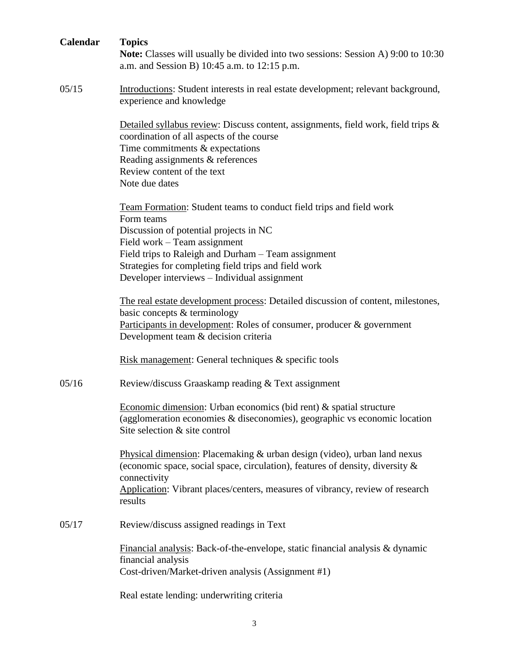| Calendar | <b>Topics</b><br><b>Note:</b> Classes will usually be divided into two sessions: Session A) 9:00 to 10:30<br>a.m. and Session B) 10:45 a.m. to 12:15 p.m.                                                                                                                                                                  |
|----------|----------------------------------------------------------------------------------------------------------------------------------------------------------------------------------------------------------------------------------------------------------------------------------------------------------------------------|
| 05/15    | Introductions: Student interests in real estate development; relevant background,<br>experience and knowledge                                                                                                                                                                                                              |
|          | Detailed syllabus review: Discuss content, assignments, field work, field trips &<br>coordination of all aspects of the course<br>Time commitments $&$ expectations<br>Reading assignments & references<br>Review content of the text<br>Note due dates                                                                    |
|          | Team Formation: Student teams to conduct field trips and field work<br>Form teams<br>Discussion of potential projects in NC<br>Field work - Team assignment<br>Field trips to Raleigh and Durham - Team assignment<br>Strategies for completing field trips and field work<br>Developer interviews - Individual assignment |
|          | The real estate development process: Detailed discussion of content, milestones,<br>basic concepts & terminology<br>Participants in development: Roles of consumer, producer & government<br>Development team & decision criteria                                                                                          |
|          | Risk management: General techniques & specific tools                                                                                                                                                                                                                                                                       |
| 05/16    | Review/discuss Graaskamp reading & Text assignment                                                                                                                                                                                                                                                                         |
|          | Economic dimension: Urban economics (bid rent) $\&$ spatial structure<br>(agglomeration economies $\&$ diseconomies), geographic vs economic location<br>Site selection & site control                                                                                                                                     |
|          | Physical dimension: Placemaking $&$ urban design (video), urban land nexus<br>(economic space, social space, circulation), features of density, diversity &<br>connectivity<br>Application: Vibrant places/centers, measures of vibrancy, review of research<br>results                                                    |
| 05/17    | Review/discuss assigned readings in Text                                                                                                                                                                                                                                                                                   |
|          | Financial analysis: Back-of-the-envelope, static financial analysis $\&$ dynamic<br>financial analysis<br>Cost-driven/Market-driven analysis (Assignment #1)                                                                                                                                                               |
|          | Real estate lending: underwriting criteria                                                                                                                                                                                                                                                                                 |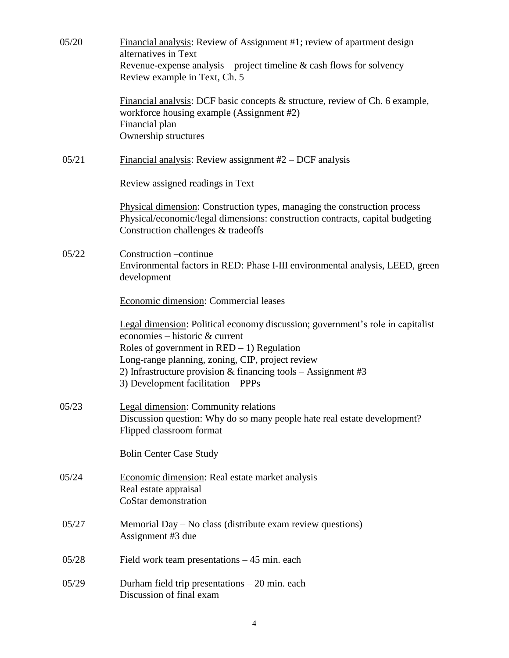| 05/20 | Financial analysis: Review of Assignment #1; review of apartment design<br>alternatives in Text<br>Revenue-expense analysis – project timeline $&$ cash flows for solvency                                                                                                                                                     |
|-------|--------------------------------------------------------------------------------------------------------------------------------------------------------------------------------------------------------------------------------------------------------------------------------------------------------------------------------|
|       | Review example in Text, Ch. 5                                                                                                                                                                                                                                                                                                  |
|       | Financial analysis: DCF basic concepts $\&$ structure, review of Ch. 6 example,<br>workforce housing example (Assignment #2)<br>Financial plan<br>Ownership structures                                                                                                                                                         |
| 05/21 | Financial analysis: Review assignment $#2$ – DCF analysis                                                                                                                                                                                                                                                                      |
|       | Review assigned readings in Text                                                                                                                                                                                                                                                                                               |
|       | Physical dimension: Construction types, managing the construction process<br>Physical/economic/legal dimensions: construction contracts, capital budgeting<br>Construction challenges & tradeoffs                                                                                                                              |
| 05/22 | Construction -continue<br>Environmental factors in RED: Phase I-III environmental analysis, LEED, green<br>development                                                                                                                                                                                                         |
|       | Economic dimension: Commercial leases                                                                                                                                                                                                                                                                                          |
|       | Legal dimension: Political economy discussion; government's role in capitalist<br>economies – historic & current<br>Roles of government in $RED - 1$ ) Regulation<br>Long-range planning, zoning, CIP, project review<br>2) Infrastructure provision & financing tools $-$ Assignment #3<br>3) Development facilitation - PPPs |
| 05/23 | <b>Legal dimension:</b> Community relations<br>Discussion question: Why do so many people hate real estate development?<br>Flipped classroom format                                                                                                                                                                            |
|       | <b>Bolin Center Case Study</b>                                                                                                                                                                                                                                                                                                 |
| 05/24 | Economic dimension: Real estate market analysis<br>Real estate appraisal<br>CoStar demonstration                                                                                                                                                                                                                               |
| 05/27 | Memorial Day – No class (distribute exam review questions)<br>Assignment #3 due                                                                                                                                                                                                                                                |
| 05/28 | Field work team presentations $-45$ min. each                                                                                                                                                                                                                                                                                  |
| 05/29 | Durham field trip presentations $-20$ min. each<br>Discussion of final exam                                                                                                                                                                                                                                                    |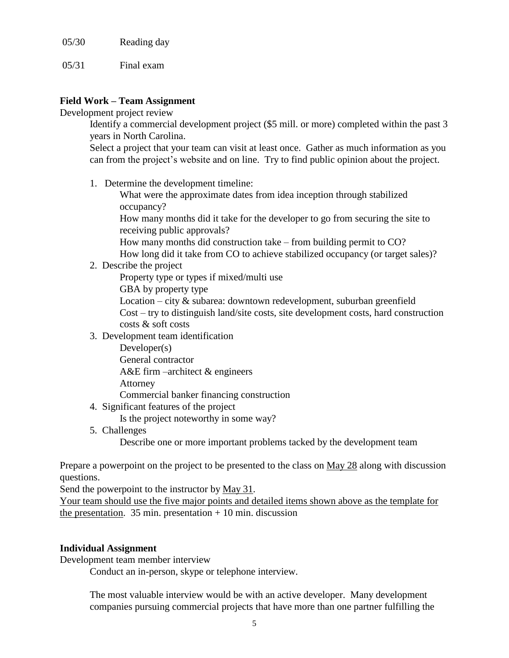05/30 Reading day

05/31 Final exam

# **Field Work – Team Assignment**

Development project review

Identify a commercial development project (\$5 mill. or more) completed within the past 3 years in North Carolina.

Select a project that your team can visit at least once. Gather as much information as you can from the project's website and on line. Try to find public opinion about the project.

1. Determine the development timeline:

What were the approximate dates from idea inception through stabilized occupancy?

How many months did it take for the developer to go from securing the site to receiving public approvals?

How many months did construction take – from building permit to CO?

How long did it take from CO to achieve stabilized occupancy (or target sales)?

2. Describe the project

Property type or types if mixed/multi use

GBA by property type

Location – city & subarea: downtown redevelopment, suburban greenfield Cost – try to distinguish land/site costs, site development costs, hard construction costs & soft costs

3. Development team identification

Developer(s) General contractor A&E firm –architect & engineers Attorney Commercial banker financing construction

4. Significant features of the project

Is the project noteworthy in some way?

5. Challenges

Describe one or more important problems tacked by the development team

Prepare a powerpoint on the project to be presented to the class on May 28 along with discussion questions.

Send the powerpoint to the instructor by May 31.

Your team should use the five major points and detailed items shown above as the template for the presentation.  $35 \text{ min.}$  presentation  $+ 10 \text{ min.}$  discussion

## **Individual Assignment**

Development team member interview

Conduct an in-person, skype or telephone interview.

The most valuable interview would be with an active developer. Many development companies pursuing commercial projects that have more than one partner fulfilling the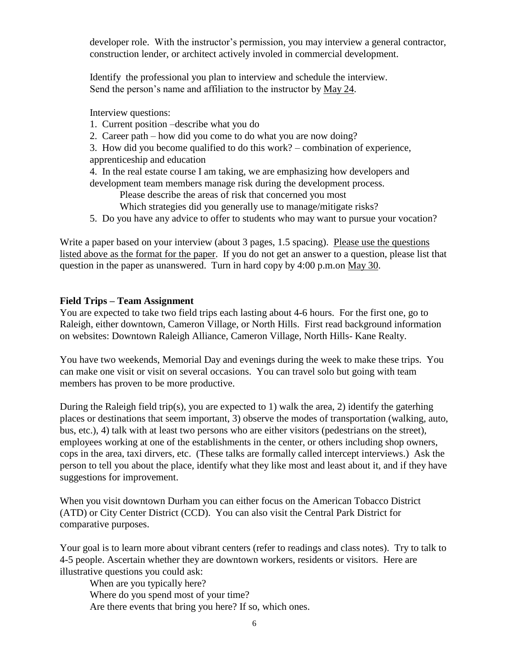developer role. With the instructor's permission, you may interview a general contractor, construction lender, or architect actively involed in commercial development.

Identify the professional you plan to interview and schedule the interview. Send the person's name and affiliation to the instructor by May 24.

Interview questions:

- 1. Current position –describe what you do
- 2. Career path how did you come to do what you are now doing?

3. How did you become qualified to do this work? – combination of experience, apprenticeship and education

4. In the real estate course I am taking, we are emphasizing how developers and development team members manage risk during the development process.

Please describe the areas of risk that concerned you most

Which strategies did you generally use to manage/mitigate risks?

5. Do you have any advice to offer to students who may want to pursue your vocation?

Write a paper based on your interview (about 3 pages, 1.5 spacing). Please use the questions listed above as the format for the paper. If you do not get an answer to a question, please list that question in the paper as unanswered. Turn in hard copy by 4:00 p.m.on May 30.

# **Field Trips – Team Assignment**

You are expected to take two field trips each lasting about 4-6 hours. For the first one, go to Raleigh, either downtown, Cameron Village, or North Hills. First read background information on websites: Downtown Raleigh Alliance, Cameron Village, North Hills- Kane Realty.

You have two weekends, Memorial Day and evenings during the week to make these trips. You can make one visit or visit on several occasions. You can travel solo but going with team members has proven to be more productive.

During the Raleigh field trip(s), you are expected to 1) walk the area, 2) identify the gaterhing places or destinations that seem important, 3) observe the modes of transportation (walking, auto, bus, etc.), 4) talk with at least two persons who are either visitors (pedestrians on the street), employees working at one of the establishments in the center, or others including shop owners, cops in the area, taxi dirvers, etc. (These talks are formally called intercept interviews.) Ask the person to tell you about the place, identify what they like most and least about it, and if they have suggestions for improvement.

When you visit downtown Durham you can either focus on the American Tobacco District (ATD) or City Center District (CCD). You can also visit the Central Park District for comparative purposes.

Your goal is to learn more about vibrant centers (refer to readings and class notes). Try to talk to 4-5 people. Ascertain whether they are downtown workers, residents or visitors. Here are illustrative questions you could ask:

When are you typically here? Where do you spend most of your time? Are there events that bring you here? If so, which ones.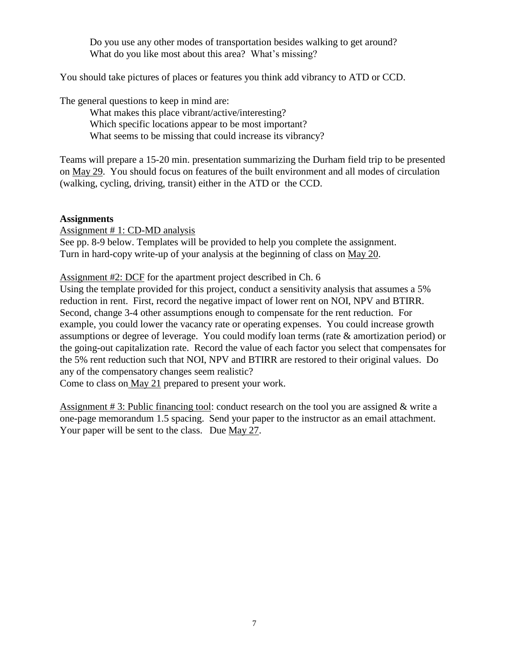Do you use any other modes of transportation besides walking to get around? What do you like most about this area? What's missing?

You should take pictures of places or features you think add vibrancy to ATD or CCD.

The general questions to keep in mind are:

What makes this place vibrant/active/interesting? Which specific locations appear to be most important? What seems to be missing that could increase its vibrancy?

Teams will prepare a 15-20 min. presentation summarizing the Durham field trip to be presented on May 29. You should focus on features of the built environment and all modes of circulation (walking, cycling, driving, transit) either in the ATD or the CCD.

## **Assignments**

Assignment # 1: CD-MD analysis

See pp. 8-9 below. Templates will be provided to help you complete the assignment. Turn in hard-copy write-up of your analysis at the beginning of class on May 20.

Assignment #2: DCF for the apartment project described in Ch. 6

Using the template provided for this project, conduct a sensitivity analysis that assumes a 5% reduction in rent. First, record the negative impact of lower rent on NOI, NPV and BTIRR. Second, change 3-4 other assumptions enough to compensate for the rent reduction. For example, you could lower the vacancy rate or operating expenses. You could increase growth assumptions or degree of leverage. You could modify loan terms (rate & amortization period) or the going-out capitalization rate. Record the value of each factor you select that compensates for the 5% rent reduction such that NOI, NPV and BTIRR are restored to their original values. Do any of the compensatory changes seem realistic?

Come to class on May 21 prepared to present your work.

Assignment # 3: Public financing tool: conduct research on the tool you are assigned & write a one-page memorandum 1.5 spacing. Send your paper to the instructor as an email attachment. Your paper will be sent to the class. Due May 27.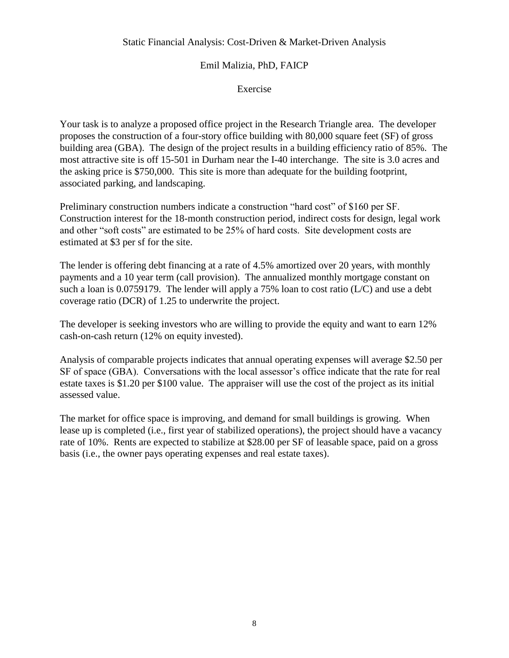## Static Financial Analysis: Cost-Driven & Market-Driven Analysis

# Emil Malizia, PhD, FAICP

Exercise

Your task is to analyze a proposed office project in the Research Triangle area. The developer proposes the construction of a four-story office building with 80,000 square feet (SF) of gross building area (GBA). The design of the project results in a building efficiency ratio of 85%. The most attractive site is off 15-501 in Durham near the I-40 interchange. The site is 3.0 acres and the asking price is \$750,000. This site is more than adequate for the building footprint, associated parking, and landscaping.

Preliminary construction numbers indicate a construction "hard cost" of \$160 per SF. Construction interest for the 18-month construction period, indirect costs for design, legal work and other "soft costs" are estimated to be 25% of hard costs. Site development costs are estimated at \$3 per sf for the site.

The lender is offering debt financing at a rate of 4.5% amortized over 20 years, with monthly payments and a 10 year term (call provision). The annualized monthly mortgage constant on such a loan is 0.0759179. The lender will apply a 75% loan to cost ratio  $(L/C)$  and use a debt coverage ratio (DCR) of 1.25 to underwrite the project.

The developer is seeking investors who are willing to provide the equity and want to earn 12% cash-on-cash return (12% on equity invested).

Analysis of comparable projects indicates that annual operating expenses will average \$2.50 per SF of space (GBA). Conversations with the local assessor's office indicate that the rate for real estate taxes is \$1.20 per \$100 value. The appraiser will use the cost of the project as its initial assessed value.

The market for office space is improving, and demand for small buildings is growing. When lease up is completed (i.e., first year of stabilized operations), the project should have a vacancy rate of 10%. Rents are expected to stabilize at \$28.00 per SF of leasable space, paid on a gross basis (i.e., the owner pays operating expenses and real estate taxes).